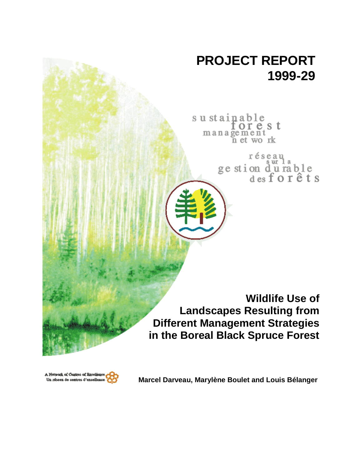# **PROJECT REPORT 1999-29**

sustainable<br>for e s t management n et work

réseau<br>ge stion d'u rable<br>des forêts

**Wildlife Use of Landscapes Resulting from Different Management Strategies in the Boreal Black Spruce Forest**



**Marcel Darveau, Marylène Boulet and Louis Bélanger**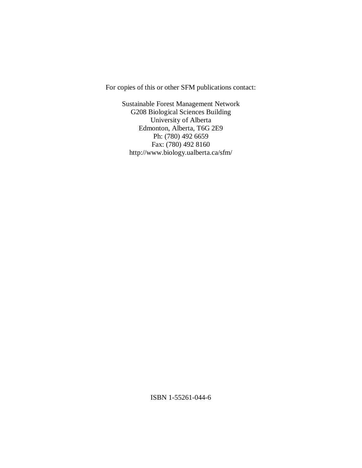For copies of this or other SFM publications contact:

Sustainable Forest Management Network G208 Biological Sciences Building University of Alberta Edmonton, Alberta, T6G 2E9 Ph: (780) 492 6659 Fax: (780) 492 8160 http://www.biology.ualberta.ca/sfm/

ISBN 1-55261-044-6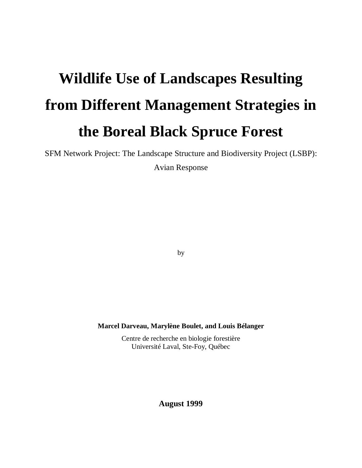# **Wildlife Use of Landscapes Resulting from Different Management Strategies in the Boreal Black Spruce Forest**

SFM Network Project: The Landscape Structure and Biodiversity Project (LSBP):

Avian Response

by

**Marcel Darveau, Marylène Boulet, and Louis Bélanger**

Centre de recherche en biologie forestière Université Laval, Ste-Foy, Québec

**August 1999**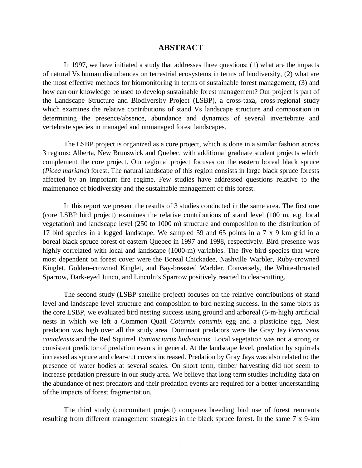### **ABSTRACT**

In 1997, we have initiated a study that addresses three questions: (1) what are the impacts of natural Vs human disturbances on terrestrial ecosystems in terms of biodiversity, (2) what are the most effective methods for biomonitoring in terms of sustainable forest management, (3) and how can our knowledge be used to develop sustainable forest management? Our project is part of the Landscape Structure and Biodiversity Project (LSBP), a cross-taxa, cross-regional study which examines the relative contributions of stand Vs landscape structure and composition in determining the presence/absence, abundance and dynamics of several invertebrate and vertebrate species in managed and unmanaged forest landscapes.

The LSBP project is organized as a core project, which is done in a similar fashion across 3 regions: Alberta, New Brunswick and Quebec, with additional graduate student projects which complement the core project. Our regional project focuses on the eastern boreal black spruce (*Picea mariana*) forest. The natural landscape of this region consists in large black spruce forests affected by an important fire regime. Few studies have addressed questions relative to the maintenance of biodiversity and the sustainable management of this forest.

In this report we present the results of 3 studies conducted in the same area. The first one (core LSBP bird project) examines the relative contributions of stand level (100 m, e.g. local vegetation) and landscape level (250 to 1000 m) structure and composition to the distribution of 17 bird species in a logged landscape. We sampled 59 and 65 points in a 7 x 9 km grid in a boreal black spruce forest of eastern Quebec in 1997 and 1998, respectively. Bird presence was highly correlated with local and landscape (1000-m) variables. The five bird species that were most dependent on forest cover were the Boreal Chickadee, Nashville Warbler, Ruby-crowned Kinglet, Golden–crowned Kinglet, and Bay-breasted Warbler. Conversely, the White-throated Sparrow, Dark-eyed Junco, and Lincoln's Sparrow positively reacted to clear-cutting.

The second study (LSBP satellite project) focuses on the relative contributions of stand level and landscape level structure and composition to bird nesting success. In the same plots as the core LSBP, we evaluated bird nesting success using ground and arboreal (5-m-high) artificial nests in which we left a Common Quail *Coturnix coturnix* egg and a plasticine egg. Nest predation was high over all the study area. Dominant predators were the Gray Jay *Perisoreus canadensis* and the Red Squirrel *Tamiasciurus hudsonicus*. Local vegetation was not a strong or consistent predictor of predation events in general. At the landscape level, predation by squirrels increased as spruce and clear-cut covers increased. Predation by Gray Jays was also related to the presence of water bodies at several scales. On short term, timber harvesting did not seem to increase predation pressure in our study area. We believe that long term studies including data on the abundance of nest predators and their predation events are required for a better understanding of the impacts of forest fragmentation.

The third study (concomitant project) compares breeding bird use of forest remnants resulting from different management strategies in the black spruce forest. In the same 7 x 9-km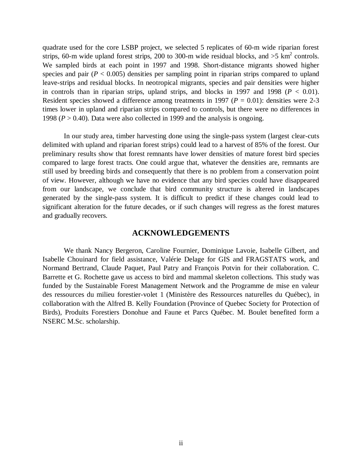quadrate used for the core LSBP project, we selected 5 replicates of 60-m wide riparian forest strips, 60-m wide upland forest strips, 200 to 300-m wide residual blocks, and  $>5$  km<sup>2</sup> controls. We sampled birds at each point in 1997 and 1998. Short-distance migrants showed higher species and pair  $(P < 0.005)$  densities per sampling point in riparian strips compared to upland leave-strips and residual blocks. In neotropical migrants, species and pair densities were higher in controls than in riparian strips, upland strips, and blocks in 1997 and 1998 ( $P < 0.01$ ). Resident species showed a difference among treatments in 1997 ( $P = 0.01$ ): densities were 2-3 times lower in upland and riparian strips compared to controls, but there were no differences in 1998 ( $P > 0.40$ ). Data were also collected in 1999 and the analysis is ongoing.

In our study area, timber harvesting done using the single-pass system (largest clear-cuts delimited with upland and riparian forest strips) could lead to a harvest of 85% of the forest*.* Our preliminary results show that forest remnants have lower densities of mature forest bird species compared to large forest tracts. One could argue that, whatever the densities are, remnants are still used by breeding birds and consequently that there is no problem from a conservation point of view. However, although we have no evidence that any bird species could have disappeared from our landscape, we conclude that bird community structure is altered in landscapes generated by the single-pass system. It is difficult to predict if these changes could lead to significant alteration for the future decades, or if such changes will regress as the forest matures and gradually recovers.

#### **ACKNOWLEDGEMENTS**

We thank Nancy Bergeron, Caroline Fournier, Dominique Lavoie, Isabelle Gilbert, and Isabelle Chouinard for field assistance, Valérie Delage for GIS and FRAGSTATS work, and Normand Bertrand, Claude Paquet, Paul Patry and François Potvin for their collaboration. C. Barrette et G. Rochette gave us access to bird and mammal skeleton collections. This study was funded by the Sustainable Forest Management Network and the Programme de mise en valeur des ressources du milieu forestier-volet 1 (Ministère des Ressources naturelles du Québec), in collaboration with the Alfred B. Kelly Foundation (Province of Quebec Society for Protection of Birds), Produits Forestiers Donohue and Faune et Parcs Québec. M. Boulet benefited form a NSERC M.Sc. scholarship.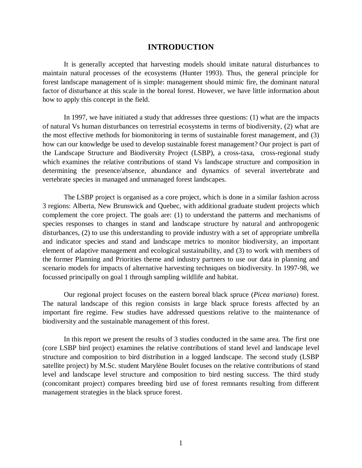# **INTRODUCTION**

It is generally accepted that harvesting models should imitate natural disturbances to maintain natural processes of the ecosystems (Hunter 1993). Thus, the general principle for forest landscape management of is simple: management should mimic fire, the dominant natural factor of disturbance at this scale in the boreal forest. However, we have little information about how to apply this concept in the field.

In 1997, we have initiated a study that addresses three questions: (1) what are the impacts of natural Vs human disturbances on terrestrial ecosystems in terms of biodiversity, (2) what are the most effective methods for biomonitoring in terms of sustainable forest management, and (3) how can our knowledge be used to develop sustainable forest management? Our project is part of the Landscape Structure and Biodiversity Project (LSBP), a cross-taxa, cross-regional study which examines the relative contributions of stand Vs landscape structure and composition in determining the presence/absence, abundance and dynamics of several invertebrate and vertebrate species in managed and unmanaged forest landscapes.

The LSBP project is organised as a core project, which is done in a similar fashion across 3 regions: Alberta, New Brunswick and Quebec, with additional graduate student projects which complement the core project. The goals are: (1) to understand the patterns and mechanisms of species responses to changes in stand and landscape structure by natural and anthropogenic disturbances, (2) to use this understanding to provide industry with a set of appropriate umbrella and indicator species and stand and landscape metrics to monitor biodiversity, an important element of adaptive management and ecological sustainability, and (3) to work with members of the former Planning and Priorities theme and industry partners to use our data in planning and scenario models for impacts of alternative harvesting techniques on biodiversity. In 1997-98, we focussed principally on goal 1 through sampling wildlife and habitat.

Our regional project focuses on the eastern boreal black spruce (*Picea mariana*) forest. The natural landscape of this region consists in large black spruce forests affected by an important fire regime. Few studies have addressed questions relative to the maintenance of biodiversity and the sustainable management of this forest.

In this report we present the results of 3 studies conducted in the same area. The first one (core LSBP bird project) examines the relative contributions of stand level and landscape level structure and composition to bird distribution in a logged landscape. The second study (LSBP satellite project) by M.Sc. student Marylène Boulet focuses on the relative contributions of stand level and landscape level structure and composition to bird nesting success. The third study (concomitant project) compares breeding bird use of forest remnants resulting from different management strategies in the black spruce forest.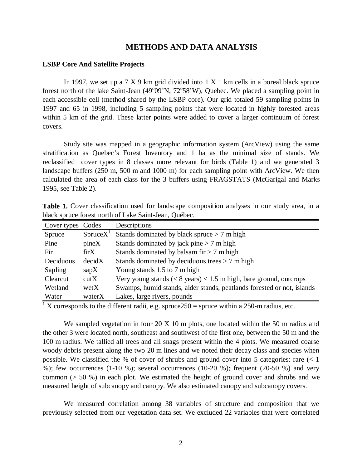# **METHODS AND DATA ANALYSIS**

#### **LSBP Core And Satellite Projects**

In 1997, we set up a  $7 \times 9$  km grid divided into  $1 \times 1$  km cells in a boreal black spruce forest north of the lake Saint-Jean (49°09'N, 72°58'W), Quebec. We placed a sampling point in each accessible cell (method shared by the LSBP core). Our grid totaled 59 sampling points in 1997 and 65 in 1998, including 5 sampling points that were located in highly forested areas within 5 km of the grid. These latter points were added to cover a larger continuum of forest covers.

Study site was mapped in a geographic information system (ArcView) using the same stratification as Quebec's Forest Inventory and 1 ha as the minimal size of stands. We reclassified cover types in 8 classes more relevant for birds (Table 1) and we generated 3 landscape buffers (250 m, 500 m and 1000 m) for each sampling point with ArcView. We then calculated the area of each class for the 3 buffers using FRAGSTATS (McGarigal and Marks 1995, see Table 2).

| Cover types Codes |                      | Descriptions                                                               |
|-------------------|----------------------|----------------------------------------------------------------------------|
| Spruce            | SpruceX <sup>T</sup> | Stands dominated by black spruce $> 7$ m high                              |
| Pine              | pineX                | Stands dominated by jack pine $> 7$ m high                                 |
| Fir               | $\rm{firX}$          | Stands dominated by balsam fir $> 7$ m high                                |
| Deciduous         | decidX               | Stands dominated by deciduous trees $> 7$ m high                           |
| Sapling           | $\text{gap}X$        | Young stands 1.5 to 7 m high                                               |
| Clearcut          | cutX                 | Very young stands ( $\lt 8$ years) $\lt 1.5$ m high, bare ground, outcrops |
| Wetland           | wetX                 | Swamps, humid stands, alder stands, peatlands forested or not, islands     |
| Water             | waterX               | Lakes, large rivers, pounds                                                |

**Table 1.** Cover classification used for landscape composition analyses in our study area, in a black spruce forest north of Lake Saint-Jean, Québec.

<sup>1</sup> X corresponds to the different radii, e.g. spruce 250 = spruce within a 250-m radius, etc.

We sampled vegetation in four 20 X 10 m plots, one located within the 50 m radius and the other 3 were located north, southeast and southwest of the first one, between the 50 m and the 100 m radius. We tallied all trees and all snags present within the 4 plots. We measured coarse woody debris present along the two 20 m lines and we noted their decay class and species when possible. We classified the % of cover of shrubs and ground cover into 5 categories: rare (< 1 %); few occurrences  $(1-10, 9)$ ; several occurrences  $(10-20, 9)$ ; frequent  $(20-50, 9)$  and very common (> 50 %) in each plot. We estimated the height of ground cover and shrubs and we measured height of subcanopy and canopy. We also estimated canopy and subcanopy covers.

We measured correlation among 38 variables of structure and composition that we previously selected from our vegetation data set. We excluded 22 variables that were correlated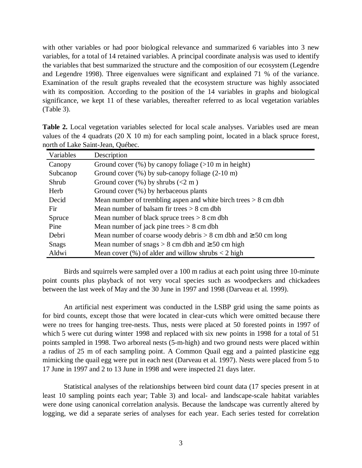with other variables or had poor biological relevance and summarized 6 variables into 3 new variables, for a total of 14 retained variables. A principal coordinate analysis was used to identify the variables that best summarized the structure and the composition of our ecosystem (Legendre and Legendre 1998). Three eigenvalues were significant and explained 71 % of the variance. Examination of the result graphs revealed that the ecosystem structure was highly associated with its composition. According to the position of the 14 variables in graphs and biological significance, we kept 11 of these variables, thereafter referred to as local vegetation variables (Table 3).

| Variables    | Description                                                           |  |  |  |
|--------------|-----------------------------------------------------------------------|--|--|--|
| Canopy       | Ground cover $(\%)$ by canopy foliage ( $>10$ m in height)            |  |  |  |
| Subcanop     | Ground cover $(\%)$ by sub-canopy foliage $(2\n-10 \text{ m})$        |  |  |  |
| Shrub        | Ground cover $(\%)$ by shrubs $(< 2 \text{ m})$                       |  |  |  |
| Herb         | Ground cover $(\%)$ by herbaceous plants                              |  |  |  |
| Decid        | Mean number of trembling aspen and white birch trees $> 8$ cm dbh     |  |  |  |
| Fir.         | Mean number of balsam fir trees $> 8$ cm dbh                          |  |  |  |
| Spruce       | Mean number of black spruce trees $> 8$ cm dbh                        |  |  |  |
| Pine         | Mean number of jack pine trees $> 8$ cm dbh                           |  |  |  |
| Debri        | Mean number of coarse woody debris $> 8$ cm dbh and $\geq 50$ cm long |  |  |  |
| <b>Snags</b> | Mean number of snags $> 8$ cm dbh and $\geq 50$ cm high               |  |  |  |
| Aldwi        | Mean cover $(\%)$ of alder and willow shrubs $\lt 2$ high             |  |  |  |

**Table 2.** Local vegetation variables selected for local scale analyses. Variables used are mean values of the 4 quadrats (20 X 10 m) for each sampling point, located in a black spruce forest, north of Lake Saint-Jean, Québec.

Birds and squirrels were sampled over a 100 m radius at each point using three 10-minute point counts plus playback of not very vocal species such as woodpeckers and chickadees between the last week of May and the 30 June in 1997 and 1998 (Darveau et al. 1999).

An artificial nest experiment was conducted in the LSBP grid using the same points as for bird counts, except those that were located in clear-cuts which were omitted because there were no trees for hanging tree-nests. Thus, nests were placed at 50 forested points in 1997 of which 5 were cut during winter 1998 and replaced with six new points in 1998 for a total of 51 points sampled in 1998. Two arboreal nests (5-m-high) and two ground nests were placed within a radius of 25 m of each sampling point. A Common Quail egg and a painted plasticine egg mimicking the quail egg were put in each nest (Darveau et al. 1997). Nests were placed from 5 to 17 June in 1997 and 2 to 13 June in 1998 and were inspected 21 days later.

Statistical analyses of the relationships between bird count data (17 species present in at least 10 sampling points each year; Table 3) and local- and landscape-scale habitat variables were done using canonical correlation analysis. Because the landscape was currently altered by logging, we did a separate series of analyses for each year. Each series tested for correlation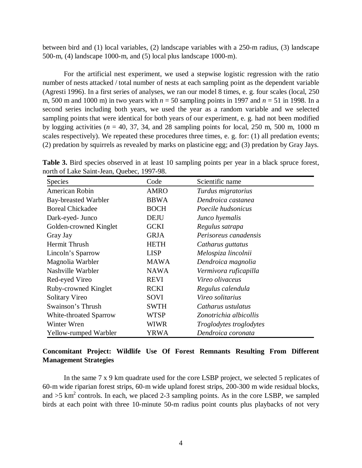between bird and (1) local variables, (2) landscape variables with a 250-m radius, (3) landscape 500-m, (4) landscape 1000-m, and (5) local plus landscape 1000-m).

For the artificial nest experiment, we used a stepwise logistic regression with the ratio number of nests attacked / total number of nests at each sampling point as the dependent variable (Agresti 1996). In a first series of analyses, we ran our model 8 times, e. g. four scales (local, 250 m, 500 m and 1000 m) in two years with  $n = 50$  sampling points in 1997 and  $n = 51$  in 1998. In a second series including both years, we used the year as a random variable and we selected sampling points that were identical for both years of our experiment, e. g. had not been modified by logging activities ( $n = 40, 37, 34$ , and 28 sampling points for local, 250 m, 500 m, 1000 m scales respectively). We repeated these procedures three times, e. g. for: (1) all predation events; (2) predation by squirrels as revealed by marks on plasticine egg; and (3) predation by Gray Jays.

**Table 3.** Bird species observed in at least 10 sampling points per year in a black spruce forest, north of Lake Saint-Jean, Quebec, 1997-98.

| <b>Species</b>              | Code        | Scientific name                |  |
|-----------------------------|-------------|--------------------------------|--|
| American Robin              | <b>AMRO</b> | Turdus migratorius             |  |
| <b>Bay-breasted Warbler</b> | <b>BBWA</b> | Dendroica castanea             |  |
| <b>Boreal Chickadee</b>     | <b>BOCH</b> | Poecile hudsonicus             |  |
| Dark-eyed- Junco            | <b>DEJU</b> | Junco hyemalis                 |  |
| Golden-crowned Kinglet      | <b>GCKI</b> | Regulus satrapa                |  |
| Gray Jay                    | <b>GRJA</b> | Perisoreus canadensis          |  |
| Hermit Thrush               | <b>HETH</b> | Catharus guttatus              |  |
| Lincoln's Sparrow           | <b>LISP</b> | Melospiza lincolnii            |  |
| Magnolia Warbler            | <b>MAWA</b> | Dendroica magnolia             |  |
| Nashville Warbler           | <b>NAWA</b> | Vermivora ruficapilla          |  |
| Red-eyed Vireo              | <b>REVI</b> | Vireo olivaceus                |  |
| Ruby-crowned Kinglet        | <b>RCKI</b> | Regulus calendula              |  |
| Solitary Vireo              | SOVI        | Vireo solitarius               |  |
| Swainson's Thrush           | <b>SWTH</b> | Catharus ustulatus             |  |
| White-throated Sparrow      | <b>WTSP</b> | Zonotrichia albicollis         |  |
| Winter Wren                 | <b>WIWR</b> | <i>Troglodytes troglodytes</i> |  |
| Yellow-rumped Warbler       | YRWA        | Dendroica coronata             |  |

# **Concomitant Project: Wildlife Use Of Forest Remnants Resulting From Different Management Strategies**

In the same 7 x 9 km quadrate used for the core LSBP project, we selected 5 replicates of 60-m wide riparian forest strips, 60-m wide upland forest strips, 200-300 m wide residual blocks, and  $>5$  km<sup>2</sup> controls. In each, we placed 2-3 sampling points. As in the core LSBP, we sampled birds at each point with three 10-minute 50-m radius point counts plus playbacks of not very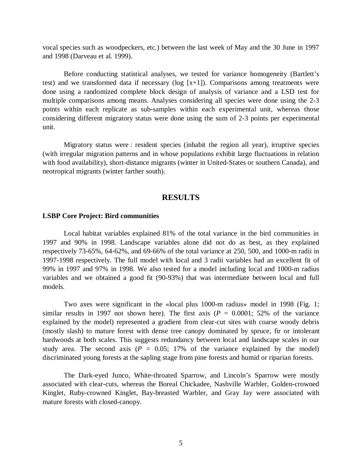vocal species such as woodpeckers, etc.) between the last week of May and the 30 June in 1997 and 1998 (Darveau et al. 1999).

Before conducting statistical analyses, we tested for variance homogeneity (Bartlett's test) and we transformed data if necessary ( $log [x+1]$ ). Comparisons among treatments were done using a randomized complete block design of analysis of variance and a LSD test for multiple comparisons among means. Analyses considering all species were done using the 2-3 points within each replicate as sub-samples within each experimental unit, whereas those considering different migratory status were done using the sum of 2-3 points per experimental unit.

Migratory status were : resident species (inhabit the region all year), irruptive species (with irregular migration patterns and in whose populations exhibit large fluctuations in relation with food availability), short-distance migrants (winter in United-States or southern Canada), and neotropical migrants (winter farther south).

## **RESULTS**

#### **LSBP Core Project: Bird communities**

Local habitat variables explained 81% of the total variance in the bird communities in 1997 and 90% in 1998. Landscape variables alone did not do as best, as they explained respectively 73-65%, 64-62%, and 69-66% of the total variance at 250, 500, and 1000-m radii in 1997-1998 respectively. The full model with local and 3 radii variables had an excellent fit of 99% in 1997 and 97% in 1998. We also tested for a model including local and 1000-m radius variables and we obtained a good fit (90-93%) that was intermediate between local and full models.

Two axes were significant in the «local plus 1000-m radius» model in 1998 (Fig. 1; similar results in 1997 not shown here). The first axis  $(P = 0.0001; 52\%$  of the variance explained by the model) represented a gradient from clear-cut sites with coarse woody debris (mostly slash) to mature forest with dense tree canopy dominated by spruce, fir or intolerant hardwoods at both scales. This suggests redundancy between local and landscape scales in our study area. The second axis ( $P = 0.05$ ; 17% of the variance explained by the model) discriminated young forests at the sapling stage from pine forests and humid or riparian forests.

The Dark-eyed Junco, White-throated Sparrow, and Lincoln's Sparrow were mostly associated with clear-cuts, whereas the Boreal Chickadee, Nashville Warbler, Golden-crowned Kinglet, Ruby-crowned Kinglet, Bay-breasted Warbler, and Gray Jay were associated with mature forests with closed-canopy.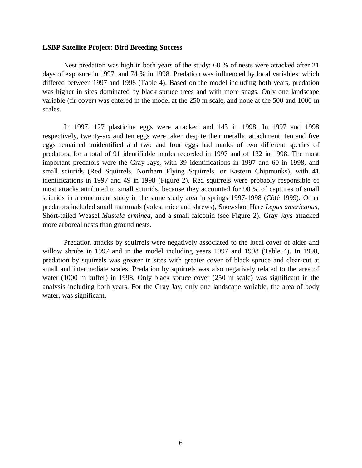#### **LSBP Satellite Project: Bird Breeding Success**

Nest predation was high in both years of the study: 68 % of nests were attacked after 21 days of exposure in 1997, and 74 % in 1998. Predation was influenced by local variables, which differed between 1997 and 1998 (Table 4). Based on the model including both years, predation was higher in sites dominated by black spruce trees and with more snags. Only one landscape variable (fir cover) was entered in the model at the 250 m scale, and none at the 500 and 1000 m scales.

In 1997, 127 plasticine eggs were attacked and 143 in 1998. In 1997 and 1998 respectively, twenty-six and ten eggs were taken despite their metallic attachment, ten and five eggs remained unidentified and two and four eggs had marks of two different species of predators, for a total of 91 identifiable marks recorded in 1997 and of 132 in 1998. The most important predators were the Gray Jays, with 39 identifications in 1997 and 60 in 1998, and small sciurids (Red Squirrels, Northern Flying Squirrels, or Eastern Chipmunks), with 41 identifications in 1997 and 49 in 1998 (Figure 2). Red squirrels were probably responsible of most attacks attributed to small sciurids, because they accounted for 90 % of captures of small sciurids in a concurrent study in the same study area in springs 1997-1998 (Côté 1999). Other predators included small mammals (voles, mice and shrews), Snowshoe Hare *Lepus americanus*, Short-tailed Weasel *Mustela erminea*, and a small falconid (see Figure 2). Gray Jays attacked more arboreal nests than ground nests.

Predation attacks by squirrels were negatively associated to the local cover of alder and willow shrubs in 1997 and in the model including years 1997 and 1998 (Table 4). In 1998, predation by squirrels was greater in sites with greater cover of black spruce and clear-cut at small and intermediate scales. Predation by squirrels was also negatively related to the area of water (1000 m buffer) in 1998. Only black spruce cover (250 m scale) was significant in the analysis including both years. For the Gray Jay, only one landscape variable, the area of body water, was significant.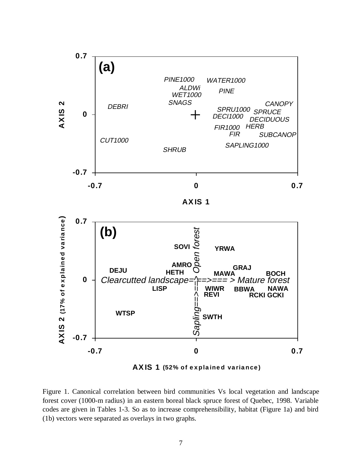

Figure 1. Canonical correlation between bird communities Vs local vegetation and landscape forest cover (1000-m radius) in an eastern boreal black spruce forest of Quebec, 1998. Variable codes are given in Tables 1-3. So as to increase comprehensibility, habitat (Figure 1a) and bird (1b) vectors were separated as overlays in two graphs.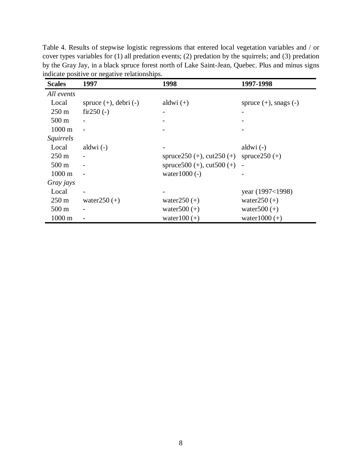Table 4. Results of stepwise logistic regressions that entered local vegetation variables and / or cover types variables for (1) all predation events; (2) predation by the squirrels; and (3) predation by the Gray Jay, in a black spruce forest north of Lake Saint-Jean, Quebec. Plus and minus signs indicate positive or negative relationships.

| <b>Scales</b>    | 1997                       | 1998                             | 1997-1998                  |
|------------------|----------------------------|----------------------------------|----------------------------|
| All events       |                            |                                  |                            |
| Local            | spruce $(+)$ , debri $(-)$ | aldwi $(+)$                      | spruce $(+)$ , snags $(-)$ |
| $250 \text{ m}$  | $fir250(-)$                |                                  |                            |
| $500 \text{ m}$  |                            |                                  |                            |
| 1000 m           |                            |                                  |                            |
| <i>Squirrels</i> |                            |                                  |                            |
| Local            | aldwi $(-)$                |                                  | aldwi $(-)$                |
| $250 \text{ m}$  |                            | spruce $250 (+)$ , cut $250 (+)$ | spruce $250 (+)$           |
| $500 \text{ m}$  |                            | spruce $500 (+)$ , cut $500 (+)$ |                            |
| $1000 \text{ m}$ |                            | water $1000$ (-)                 |                            |
| Gray jays        |                            |                                  |                            |
| Local            |                            |                                  | year (1997<1998)           |
| $250 \text{ m}$  | water $250 (+)$            | water $250 (+)$                  | water $250 (+)$            |
| $500 \text{ m}$  |                            | water $500 (+)$                  | water $500 (+)$            |
| $1000 \text{ m}$ |                            | water $100 (+)$                  | water $1000 (+)$           |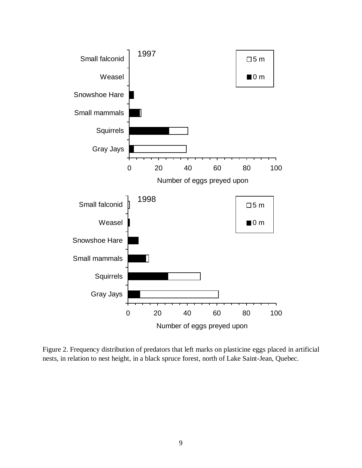

Figure 2. Frequency distribution of predators that left marks on plasticine eggs placed in artificial nests, in relation to nest height, in a black spruce forest, north of Lake Saint-Jean, Quebec.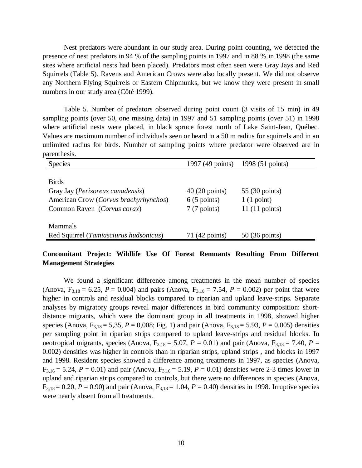Nest predators were abundant in our study area. During point counting, we detected the presence of nest predators in 94 % of the sampling points in 1997 and in 88 % in 1998 (the same sites where artificial nests had been placed). Predators most often seen were Gray Jays and Red Squirrels (Table 5). Ravens and American Crows were also locally present. We did not observe any Northern Flying Squirrels or Eastern Chipmunks, but we know they were present in small numbers in our study area (Côté 1999).

Table 5. Number of predators observed during point count (3 visits of 15 min) in 49 sampling points (over 50, one missing data) in 1997 and 51 sampling points (over 51) in 1998 where artificial nests were placed, in black spruce forest north of Lake Saint-Jean, Québec. Values are maximum number of individuals seen or heard in a 50 m radius for squirrels and in an unlimited radius for birds. Number of sampling points where predator were observed are in parenthesis.

| Species                                   | 1997 (49 points)        | 1998 (51 points)        |
|-------------------------------------------|-------------------------|-------------------------|
|                                           |                         |                         |
| <b>Birds</b>                              |                         |                         |
| Gray Jay ( <i>Perisoreus canadensis</i> ) | $40(20 \text{ points})$ | 55 (30 points)          |
| American Crow (Corvus brachyrhynchos)     | $6(5 \text{ points})$   | 1(1 point)              |
| Common Raven (Corvus corax)               | $7(7 \text{ points})$   | 11(11 points)           |
|                                           |                         |                         |
| <b>Mammals</b>                            |                         |                         |
| Red Squirrel (Tamiasciurus hudsonicus)    | 71 (42 points)          | $50(36 \text{ points})$ |

# **Concomitant Project: Wildlife Use Of Forest Remnants Resulting From Different Management Strategies**

We found a significant difference among treatments in the mean number of species (Anova,  $F_{3,18} = 6.25$ ,  $P = 0.004$ ) and pairs (Anova,  $F_{3,18} = 7.54$ ,  $P = 0.002$ ) per point that were higher in controls and residual blocks compared to riparian and upland leave-strips. Separate analyses by migratory groups reveal major differences in bird community composition: shortdistance migrants, which were the dominant group in all treatments in 1998, showed higher species (Anova,  $F_{3,18} = 5,35$ ,  $P = 0,008$ ; Fig. 1) and pair (Anova,  $F_{3,18} = 5.93$ ,  $P = 0.005$ ) densities per sampling point in riparian strips compared to upland leave-strips and residual blocks. In neotropical migrants, species (Anova,  $F_{3,18} = 5.07$ ,  $P = 0.01$ ) and pair (Anova,  $F_{3,18} = 7.40$ ,  $P =$ 0.002) densities was higher in controls than in riparian strips, upland strips , and blocks in 1997 and 1998. Resident species showed a difference among treatments in 1997, as species (Anova,  $F_{3,16} = 5.24$ ,  $P = 0.01$ ) and pair (Anova,  $F_{3,16} = 5.19$ ,  $P = 0.01$ ) densities were 2-3 times lower in upland and riparian strips compared to controls, but there were no differences in species (Anova,  $F_{3,18} = 0.20$ ,  $P = 0.90$ ) and pair (Anova,  $F_{3,18} = 1.04$ ,  $P = 0.40$ ) densities in 1998. Irruptive species were nearly absent from all treatments.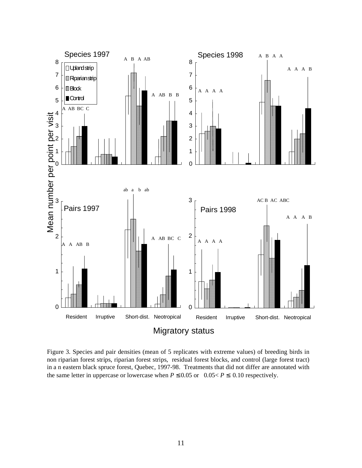

Figure 3. Species and pair densities (mean of 5 replicates with extreme values) of breeding birds in non riparian forest strips, riparian forest strips, residual forest blocks, and control (large forest tract) in a n eastern black spruce forest, Quebec, 1997-98. Treatments that did not differ are annotated with the same letter in uppercase or lowercase when  $P \le 0.05$  or  $0.05 < P \le 0.10$  respectively.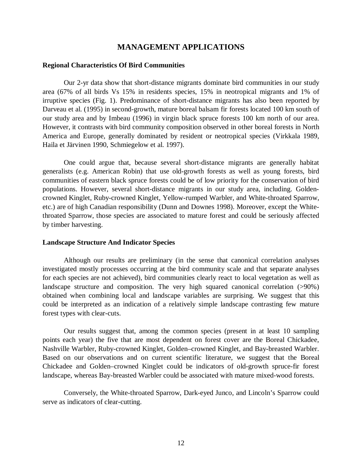# **MANAGEMENT APPLICATIONS**

#### **Regional Characteristics Of Bird Communities**

Our 2-yr data show that short-distance migrants dominate bird communities in our study area (67% of all birds Vs 15% in residents species, 15% in neotropical migrants and 1% of irruptive species (Fig. 1). Predominance of short-distance migrants has also been reported by Darveau et al. (1995) in second-growth, mature boreal balsam fir forests located 100 km south of our study area and by Imbeau (1996) in virgin black spruce forests 100 km north of our area. However, it contrasts with bird community composition observed in other boreal forests in North America and Europe, generally dominated by resident or neotropical species (Virkkala 1989, Haila et Järvinen 1990, Schmiegelow et al. 1997).

One could argue that, because several short-distance migrants are generally habitat generalists (e.g. American Robin) that use old-growth forests as well as young forests, bird communities of eastern black spruce forests could be of low priority for the conservation of bird populations. However, several short-distance migrants in our study area, including. Goldencrowned Kinglet, Ruby-crowned Kinglet, Yellow-rumped Warbler, and White-throated Sparrow, etc.) are of high Canadian responsibility (Dunn and Downes 1998). Moreover, except the Whitethroated Sparrow, those species are associated to mature forest and could be seriously affected by timber harvesting.

#### **Landscape Structure And Indicator Species**

Although our results are preliminary (in the sense that canonical correlation analyses investigated mostly processes occurring at the bird community scale and that separate analyses for each species are not achieved), bird communities clearly react to local vegetation as well as landscape structure and composition. The very high squared canonical correlation (>90%) obtained when combining local and landscape variables are surprising. We suggest that this could be interpreted as an indication of a relatively simple landscape contrasting few mature forest types with clear-cuts.

Our results suggest that, among the common species (present in at least 10 sampling points each year) the five that are most dependent on forest cover are the Boreal Chickadee, Nashville Warbler, Ruby-crowned Kinglet, Golden–crowned Kinglet, and Bay-breasted Warbler. Based on our observations and on current scientific literature, we suggest that the Boreal Chickadee and Golden–crowned Kinglet could be indicators of old-growth spruce-fir forest landscape, whereas Bay-breasted Warbler could be associated with mature mixed-wood forests.

Conversely, the White-throated Sparrow, Dark-eyed Junco, and Lincoln's Sparrow could serve as indicators of clear-cutting.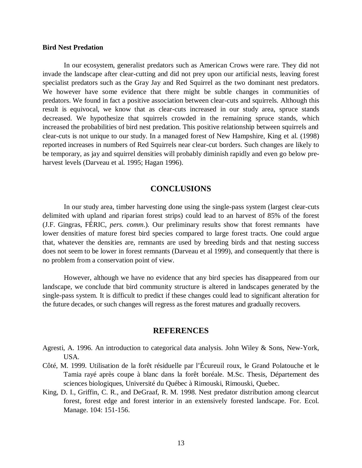#### **Bird Nest Predation**

In our ecosystem, generalist predators such as American Crows were rare. They did not invade the landscape after clear-cutting and did not prey upon our artificial nests, leaving forest specialist predators such as the Gray Jay and Red Squirrel as the two dominant nest predators. We however have some evidence that there might be subtle changes in communities of predators. We found in fact a positive association between clear-cuts and squirrels. Although this result is equivocal, we know that as clear-cuts increased in our study area, spruce stands decreased. We hypothesize that squirrels crowded in the remaining spruce stands, which increased the probabilities of bird nest predation. This positive relationship between squirrels and clear-cuts is not unique to our study. In a managed forest of New Hampshire, King et al. (1998) reported increases in numbers of Red Squirrels near clear-cut borders. Such changes are likely to be temporary, as jay and squirrel densities will probably diminish rapidly and even go below preharvest levels (Darveau et al. 1995; Hagan 1996).

# **CONCLUSIONS**

In our study area, timber harvesting done using the single-pass system (largest clear-cuts delimited with upland and riparian forest strips) could lead to an harvest of 85% of the forest (J.F. Gingras, FÉRIC, *pers. comm*.)*.* Our preliminary results show that forest remnants have lower densities of mature forest bird species compared to large forest tracts. One could argue that, whatever the densities are, remnants are used by breeding birds and that nesting success does not seem to be lower in forest remnants (Darveau et al 1999), and consequently that there is no problem from a conservation point of view.

However, although we have no evidence that any bird species has disappeared from our landscape, we conclude that bird community structure is altered in landscapes generated by the single-pass system. It is difficult to predict if these changes could lead to significant alteration for the future decades, or such changes will regress as the forest matures and gradually recovers.

#### **REFERENCES**

- Agresti, A. 1996. An introduction to categorical data analysis. John Wiley & Sons, New-York, USA.
- Côté, M. 1999. Utilisation de la forêt résiduelle par l'Écureuil roux, le Grand Polatouche et le Tamia rayé après coupe à blanc dans la forêt boréale. M.Sc. Thesis, Département des sciences biologiques, Université du Québec à Rimouski, Rimouski, Quebec.
- King, D. I., Griffin, C. R., and DeGraaf, R. M. 1998. Nest predator distribution among clearcut forest, forest edge and forest interior in an extensively forested landscape. For. Ecol. Manage. 104: 151-156.